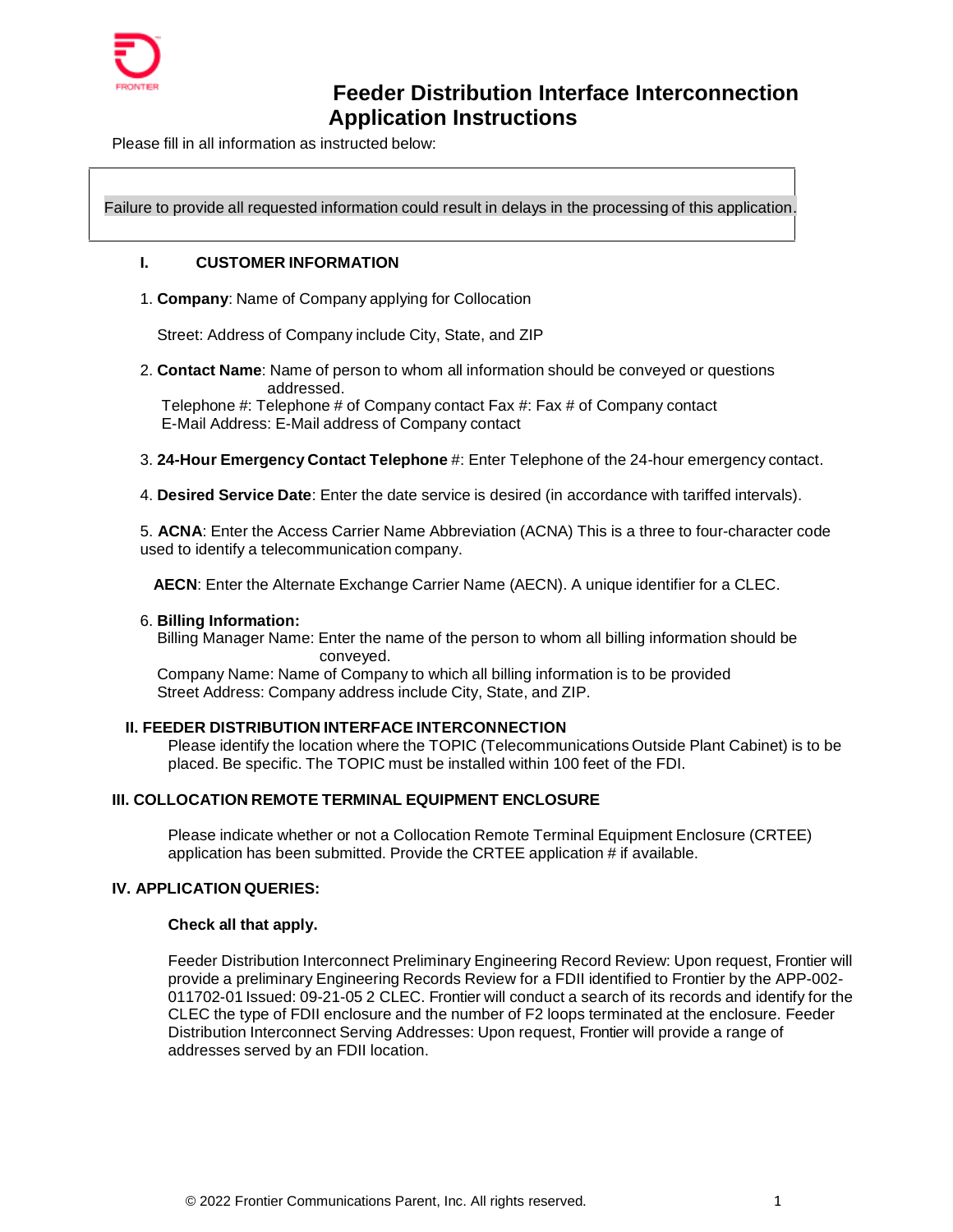

# **Feeder Distribution Interface Interconnection Application Instructions**

Please fill in all information as instructed below:

Failure to provide all requested information could result in delays in the processing of this application.

### **I. CUSTOMER INFORMATION**

#### 1. **Company**: Name of Companyapplying for Collocation

Street: Address of Company include City, State, and ZIP

2. **Contact Name**: Name of person to whom all information should be conveyed or questions addressed.

Telephone #: Telephone # of Company contact Fax #: Fax # of Company contact E-Mail Address: E-Mail address of Company contact

3. **24-Hour Emergency Contact Telephone** #: Enter Telephone of the 24-hour emergency contact.

4. **Desired Service Date**: Enter the date service is desired (in accordance with tariffed intervals).

5. **ACNA**: Enter the Access Carrier Name Abbreviation (ACNA) This is a three to four-character code used to identify a telecommunication company.

**AECN**: Enter the Alternate Exchange Carrier Name (AECN). A unique identifier for a CLEC.

#### 6. **Billing Information:**

Billing Manager Name: Enter the name of the person to whom all billing information should be conveyed.

Company Name: Name of Company to which all billing information is to be provided Street Address: Company address include City, State, and ZIP.

## **II. FEEDER DISTRIBUTION INTERFACE INTERCONNECTION**

Please identify the location where the TOPIC (Telecommunications Outside Plant Cabinet) is to be placed. Be specific. The TOPIC must be installed within 100 feet of the FDI.

## **III. COLLOCATION REMOTE TERMINAL EQUIPMENT ENCLOSURE**

Please indicate whether or not a Collocation Remote Terminal Equipment Enclosure (CRTEE) application has been submitted. Provide the CRTEE application # if available.

## **IV. APPLICATION QUERIES:**

### **Check all that apply.**

Feeder Distribution Interconnect Preliminary Engineering Record Review: Upon request, Frontier will provide a preliminary Engineering Records Review for a FDII identified to Frontier by the APP-002- 011702-01Issued: 09-21-05 2 CLEC. Frontier will conduct a search of its records and identify for the CLEC the type of FDII enclosure and the number of F2 loops terminated at the enclosure. Feeder Distribution Interconnect Serving Addresses: Upon request, Frontier will provide a range of addresses served by an FDII location.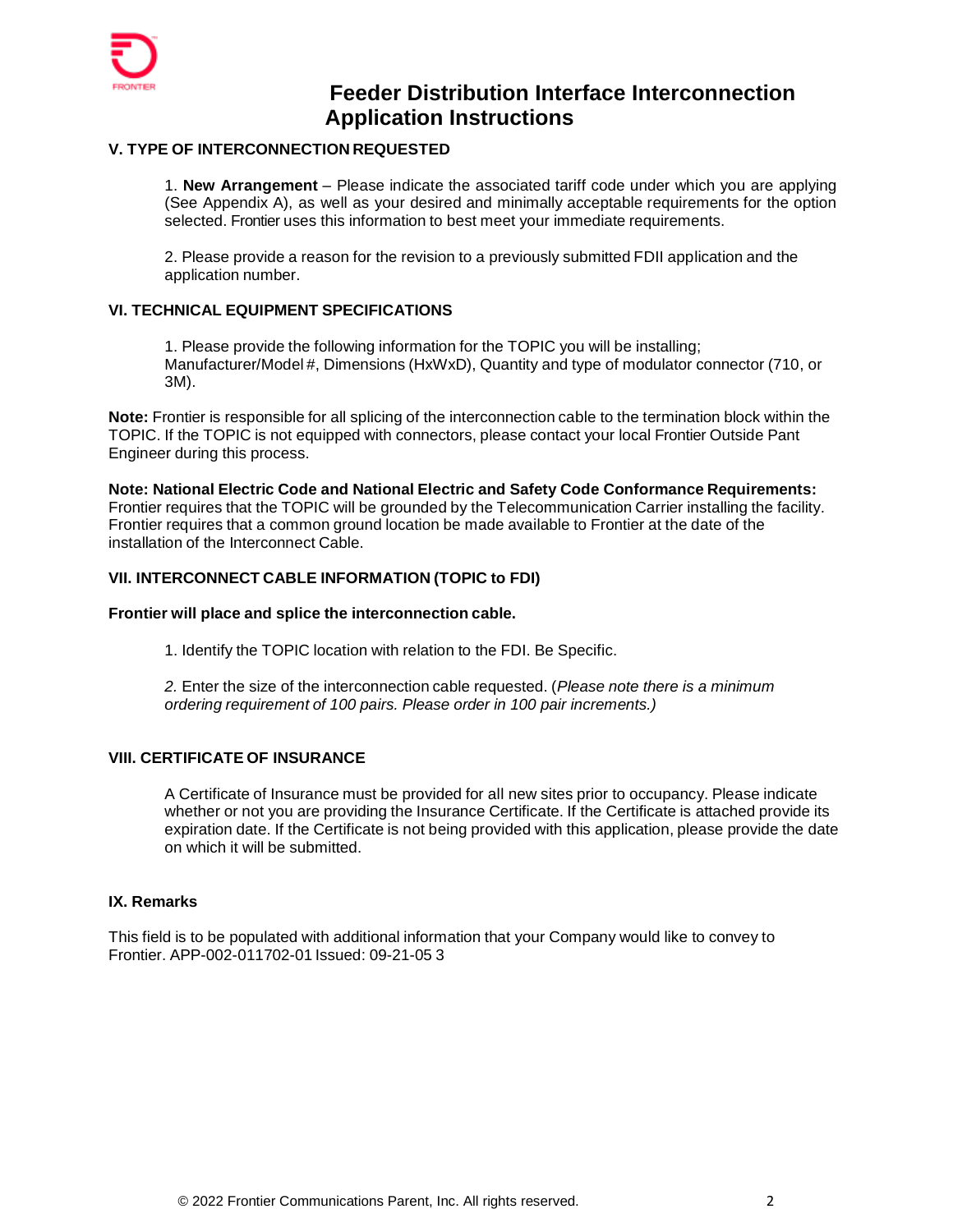

# **Feeder Distribution Interface Interconnection Application Instructions**

## **V. TYPE OF INTERCONNECTION REQUESTED**

1. **New Arrangement** – Please indicate the associated tariff code under which you are applying (See Appendix A), as well as your desired and minimally acceptable requirements for the option selected. Frontier uses this information to best meet your immediate requirements.

2. Please provide a reason for the revision to a previously submitted FDII application and the application number.

## **VI. TECHNICAL EQUIPMENT SPECIFICATIONS**

1. Please provide the following information for the TOPIC you will be installing; Manufacturer/Model#, Dimensions (HxWxD), Quantity and type of modulator connector (710, or 3M).

**Note:** Frontier is responsible for all splicing of the interconnection cable to the termination block within the TOPIC. If the TOPIC is not equipped with connectors, please contact your local Frontier Outside Pant Engineer during this process.

**Note: National Electric Code and National Electric and Safety Code Conformance Requirements:**  Frontier requires that the TOPIC will be grounded by the Telecommunication Carrier installing the facility. Frontier requires that a common ground location be made available to Frontier at the date of the installation of the Interconnect Cable.

## **VII. INTERCONNECT CABLE INFORMATION (TOPIC to FDI)**

## **Frontier will place and splice the interconnection cable.**

1. Identify the TOPIC location with relation to the FDI. Be Specific.

*2.* Enter the size of the interconnectioncable requested. (*Please note there is a minimum ordering requirement of 100 pairs. Please order in 100 pair increments.)*

## **VIII. CERTIFICATE OF INSURANCE**

A Certificate of Insurance must be provided for all new sites prior to occupancy. Please indicate whether or not you are providing the Insurance Certificate. If the Certificate is attached provide its expiration date. If the Certificate is not being provided with this application, please provide the date on which it will be submitted.

## **IX. Remarks**

This field is to be populated with additional information that your Company would like to convey to Frontier. APP-002-011702-01Issued: 09-21-05 3